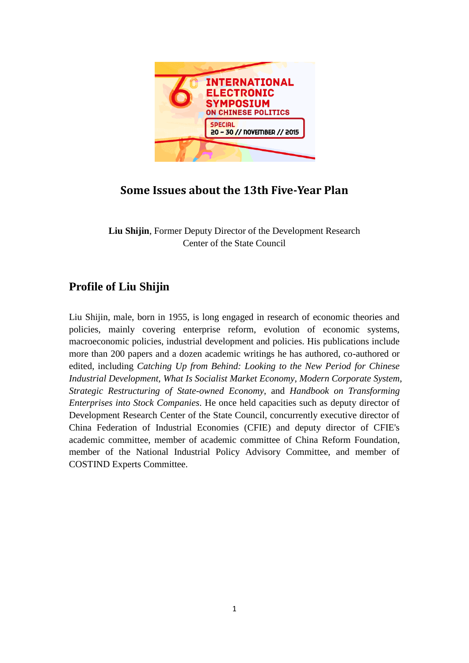

## **Some Issues about the 13th Five-Year Plan**

**Liu Shijin**, Former Deputy Director of the Development Research Center of the State Council

## **Profile of Liu Shijin**

Liu Shijin, male, born in 1955, is long engaged in research of economic theories and policies, mainly covering enterprise reform, evolution of economic systems, macroeconomic policies, industrial development and policies. His publications include more than 200 papers and a dozen academic writings he has authored, co-authored or edited, including *Catching Up from Behind: Looking to the New Period for Chinese Industrial Development, What Is Socialist Market Economy*, *Modern Corporate System*, *Strategic Restructuring of State-owned Economy*, and *Handbook on Transforming Enterprises into Stock Companies*. He once held capacities such as deputy director of Development Research Center of the State Council, concurrently executive director of China Federation of Industrial Economies (CFIE) and deputy director of CFIE's academic committee, member of academic committee of China Reform Foundation, member of the National Industrial Policy Advisory Committee, and member of COSTIND Experts Committee.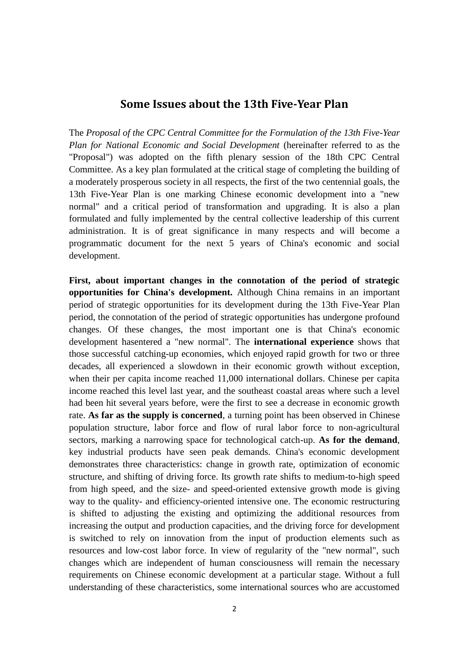## **Some Issues about the 13th Five-Year Plan**

The *Proposal of the CPC Central Committee for the Formulation of the 13th Five-Year Plan for National Economic and Social Development* (hereinafter referred to as the "Proposal") was adopted on the fifth plenary session of the 18th CPC Central Committee. As a key plan formulated at the critical stage of completing the building of a moderately prosperous society in all respects, the first of the two centennial goals, the 13th Five-Year Plan is one marking Chinese economic development into a "new normal" and a critical period of transformation and upgrading. It is also a plan formulated and fully implemented by the central collective leadership of this current administration. It is of great significance in many respects and will become a programmatic document for the next 5 years of China's economic and social development.

**First, about important changes in the connotation of the period of strategic opportunities for China's development.** Although China remains in an important period of strategic opportunities for its development during the 13th Five-Year Plan period, the connotation of the period of strategic opportunities has undergone profound changes. Of these changes, the most important one is that China's economic development hasentered a "new normal". The **international experience** shows that those successful catching-up economies, which enjoyed rapid growth for two or three decades, all experienced a slowdown in their economic growth without exception, when their per capita income reached 11,000 international dollars. Chinese per capita income reached this level last year, and the southeast coastal areas where such a level had been hit several years before, were the first to see a decrease in economic growth rate. **As far as the supply is concerned**, a turning point has been observed in Chinese population structure, labor force and flow of rural labor force to non-agricultural sectors, marking a narrowing space for technological catch-up. **As for the demand**, key industrial products have seen peak demands. China's economic development demonstrates three characteristics: change in growth rate, optimization of economic structure, and shifting of driving force. Its growth rate shifts to medium-to-high speed from high speed, and the size- and speed-oriented extensive growth mode is giving way to the quality- and efficiency-oriented intensive one. The economic restructuring is shifted to adjusting the existing and optimizing the additional resources from increasing the output and production capacities, and the driving force for development is switched to rely on innovation from the input of production elements such as resources and low-cost labor force. In view of regularity of the "new normal", such changes which are independent of human consciousness will remain the necessary requirements on Chinese economic development at a particular stage. Without a full understanding of these characteristics, some international sources who are accustomed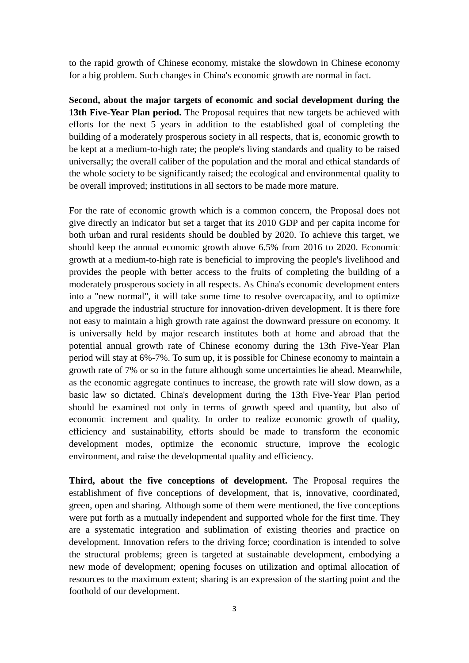to the rapid growth of Chinese economy, mistake the slowdown in Chinese economy for a big problem. Such changes in China's economic growth are normal in fact.

**Second, about the major targets of economic and social development during the 13th Five-Year Plan period.** The Proposal requires that new targets be achieved with efforts for the next 5 years in addition to the established goal of completing the building of a moderately prosperous society in all respects, that is, economic growth to be kept at a medium-to-high rate; the people's living standards and quality to be raised universally; the overall caliber of the population and the moral and ethical standards of the whole society to be significantly raised; the ecological and environmental quality to be overall improved; institutions in all sectors to be made more mature.

For the rate of economic growth which is a common concern, the Proposal does not give directly an indicator but set a target that its 2010 GDP and per capita income for both urban and rural residents should be doubled by 2020. To achieve this target, we should keep the annual economic growth above 6.5% from 2016 to 2020. Economic growth at a medium-to-high rate is beneficial to improving the people's livelihood and provides the people with better access to the fruits of completing the building of a moderately prosperous society in all respects. As China's economic development enters into a "new normal", it will take some time to resolve overcapacity, and to optimize and upgrade the industrial structure for innovation-driven development. It is there fore not easy to maintain a high growth rate against the downward pressure on economy. It is universally held by major research institutes both at home and abroad that the potential annual growth rate of Chinese economy during the 13th Five-Year Plan period will stay at 6%-7%. To sum up, it is possible for Chinese economy to maintain a growth rate of 7% or so in the future although some uncertainties lie ahead. Meanwhile, as the economic aggregate continues to increase, the growth rate will slow down, as a basic law so dictated. China's development during the 13th Five-Year Plan period should be examined not only in terms of growth speed and quantity, but also of economic increment and quality. In order to realize economic growth of quality, efficiency and sustainability, efforts should be made to transform the economic development modes, optimize the economic structure, improve the ecologic environment, and raise the developmental quality and efficiency.

**Third, about the five conceptions of development.** The Proposal requires the establishment of five conceptions of development, that is, innovative, coordinated, green, open and sharing. Although some of them were mentioned, the five conceptions were put forth as a mutually independent and supported whole for the first time. They are a systematic integration and sublimation of existing theories and practice on development. Innovation refers to the driving force; coordination is intended to solve the structural problems; green is targeted at sustainable development, embodying a new mode of development; opening focuses on utilization and optimal allocation of resources to the maximum extent; sharing is an expression of the starting point and the foothold of our development.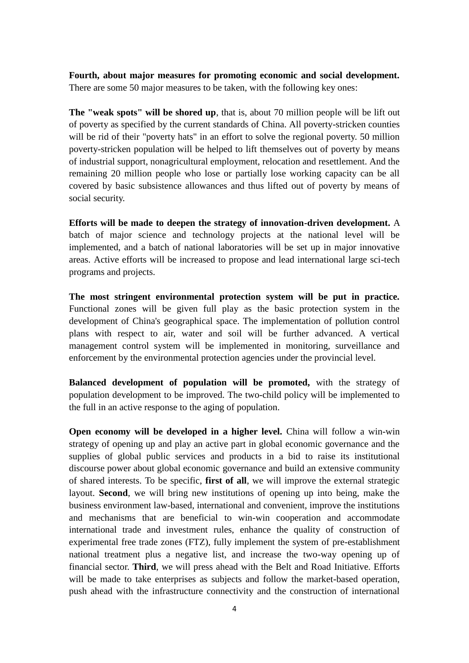**Fourth, about major measures for promoting economic and social development.** There are some 50 major measures to be taken, with the following key ones:

**The "weak spots" will be shored up**, that is, about 70 million people will be lift out of poverty as specified by the current standards of China. All poverty-stricken counties will be rid of their "poverty hats" in an effort to solve the regional poverty. 50 million poverty-stricken population will be helped to lift themselves out of poverty by means of industrial support, nonagricultural employment, relocation and resettlement. And the remaining 20 million people who lose or partially lose working capacity can be all covered by basic subsistence allowances and thus lifted out of poverty by means of social security.

**Efforts will be made to deepen the strategy of innovation-driven development.** A batch of major science and technology projects at the national level will be implemented, and a batch of national laboratories will be set up in major innovative areas. Active efforts will be increased to propose and lead international large sci-tech programs and projects.

**The most stringent environmental protection system will be put in practice.** Functional zones will be given full play as the basic protection system in the development of China's geographical space. The implementation of pollution control plans with respect to air, water and soil will be further advanced. A vertical management control system will be implemented in monitoring, surveillance and enforcement by the environmental protection agencies under the provincial level.

**Balanced development of population will be promoted,** with the strategy of population development to be improved. The two-child policy will be implemented to the full in an active response to the aging of population.

**Open economy will be developed in a higher level.** China will follow a win-win strategy of opening up and play an active part in global economic governance and the supplies of global public services and products in a bid to raise its institutional discourse power about global economic governance and build an extensive community of shared interests. To be specific, **first of all**, we will improve the external strategic layout. **Second**, we will bring new institutions of opening up into being, make the business environment law-based, international and convenient, improve the institutions and mechanisms that are beneficial to win-win cooperation and accommodate international trade and investment rules, enhance the quality of construction of experimental free trade zones (FTZ), fully implement the system of pre-establishment national treatment plus a negative list, and increase the two-way opening up of financial sector. **Third**, we will press ahead with the Belt and Road Initiative. Efforts will be made to take enterprises as subjects and follow the market-based operation, push ahead with the infrastructure connectivity and the construction of international